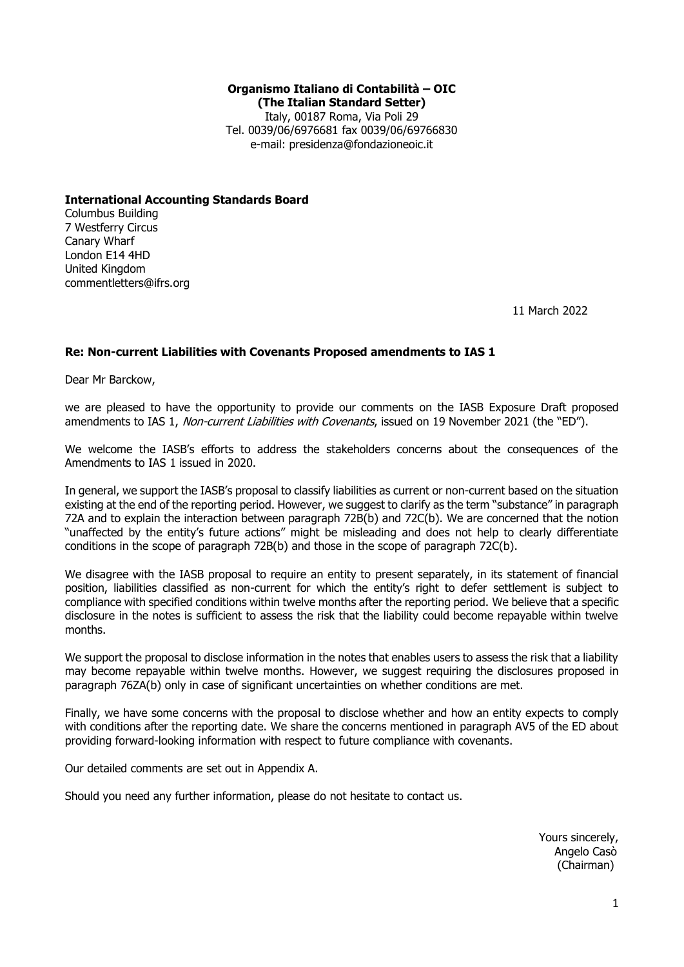# **Organismo Italiano di Contabilità – OIC (The Italian Standard Setter)** Italy, 00187 Roma, Via Poli 29

Tel. 0039/06/6976681 fax 0039/06/69766830 e-mail: presidenza@fondazioneoic.it

**International Accounting Standards Board**  Columbus Building 7 Westferry Circus Canary Wharf London E14 4HD United Kingdom commentletters@ifrs.org

11 March 2022

### **Re: Non-current Liabilities with Covenants Proposed amendments to IAS 1**

Dear Mr Barckow,

we are pleased to have the opportunity to provide our comments on the IASB Exposure Draft proposed amendments to IAS 1, Non-current Liabilities with Covenants, issued on 19 November 2021 (the "ED").

We welcome the IASB's efforts to address the stakeholders concerns about the consequences of the Amendments to IAS 1 issued in 2020.

In general, we support the IASB's proposal to classify liabilities as current or non-current based on the situation existing at the end of the reporting period. However, we suggest to clarify as the term "substance" in paragraph 72A and to explain the interaction between paragraph 72B(b) and 72C(b). We are concerned that the notion "unaffected by the entity's future actions" might be misleading and does not help to clearly differentiate conditions in the scope of paragraph 72B(b) and those in the scope of paragraph 72C(b).

We disagree with the IASB proposal to require an entity to present separately, in its statement of financial position, liabilities classified as non-current for which the entity's right to defer settlement is subject to compliance with specified conditions within twelve months after the reporting period. We believe that a specific disclosure in the notes is sufficient to assess the risk that the liability could become repayable within twelve months.

We support the proposal to disclose information in the notes that enables users to assess the risk that a liability may become repayable within twelve months. However, we suggest requiring the disclosures proposed in paragraph 76ZA(b) only in case of significant uncertainties on whether conditions are met.

Finally, we have some concerns with the proposal to disclose whether and how an entity expects to comply with conditions after the reporting date. We share the concerns mentioned in paragraph AV5 of the ED about providing forward-looking information with respect to future compliance with covenants.

Our detailed comments are set out in Appendix A.

Should you need any further information, please do not hesitate to contact us.

Yours sincerely, Angelo Casò (Chairman)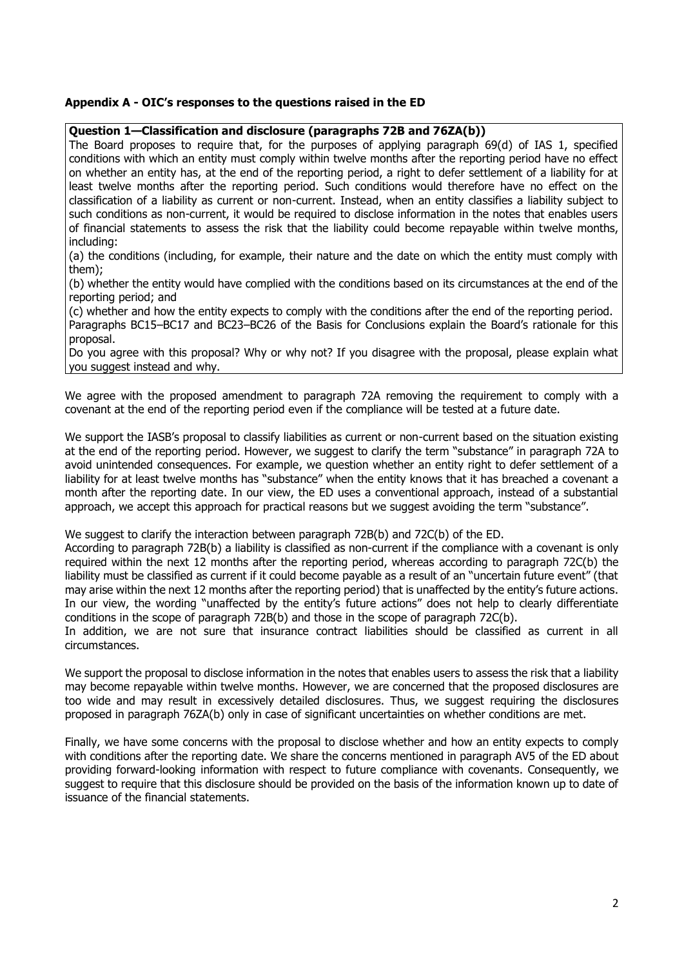#### **Appendix A - OIC's responses to the questions raised in the ED**

#### **Question 1—Classification and disclosure (paragraphs 72B and 76ZA(b))**

The Board proposes to require that, for the purposes of applying paragraph 69(d) of IAS 1, specified conditions with which an entity must comply within twelve months after the reporting period have no effect on whether an entity has, at the end of the reporting period, a right to defer settlement of a liability for at least twelve months after the reporting period. Such conditions would therefore have no effect on the classification of a liability as current or non-current. Instead, when an entity classifies a liability subject to such conditions as non-current, it would be required to disclose information in the notes that enables users of financial statements to assess the risk that the liability could become repayable within twelve months, including:

(a) the conditions (including, for example, their nature and the date on which the entity must comply with them);

(b) whether the entity would have complied with the conditions based on its circumstances at the end of the reporting period; and

(c) whether and how the entity expects to comply with the conditions after the end of the reporting period. Paragraphs BC15–BC17 and BC23–BC26 of the Basis for Conclusions explain the Board's rationale for this proposal.

Do you agree with this proposal? Why or why not? If you disagree with the proposal, please explain what you suggest instead and why.

We agree with the proposed amendment to paragraph 72A removing the requirement to comply with a covenant at the end of the reporting period even if the compliance will be tested at a future date.

We support the IASB's proposal to classify liabilities as current or non-current based on the situation existing at the end of the reporting period. However, we suggest to clarify the term "substance" in paragraph 72A to avoid unintended consequences. For example, we question whether an entity right to defer settlement of a liability for at least twelve months has "substance" when the entity knows that it has breached a covenant a month after the reporting date. In our view, the ED uses a conventional approach, instead of a substantial approach, we accept this approach for practical reasons but we suggest avoiding the term "substance".

We suggest to clarify the interaction between paragraph 72B(b) and 72C(b) of the ED.

According to paragraph 72B(b) a liability is classified as non-current if the compliance with a covenant is only required within the next 12 months after the reporting period, whereas according to paragraph 72C(b) the liability must be classified as current if it could become payable as a result of an "uncertain future event" (that may arise within the next 12 months after the reporting period) that is unaffected by the entity's future actions. In our view, the wording "unaffected by the entity's future actions" does not help to clearly differentiate conditions in the scope of paragraph 72B(b) and those in the scope of paragraph 72C(b).

In addition, we are not sure that insurance contract liabilities should be classified as current in all circumstances.

We support the proposal to disclose information in the notes that enables users to assess the risk that a liability may become repayable within twelve months. However, we are concerned that the proposed disclosures are too wide and may result in excessively detailed disclosures. Thus, we suggest requiring the disclosures proposed in paragraph 76ZA(b) only in case of significant uncertainties on whether conditions are met.

Finally, we have some concerns with the proposal to disclose whether and how an entity expects to comply with conditions after the reporting date. We share the concerns mentioned in paragraph AV5 of the ED about providing forward-looking information with respect to future compliance with covenants. Consequently, we suggest to require that this disclosure should be provided on the basis of the information known up to date of issuance of the financial statements.